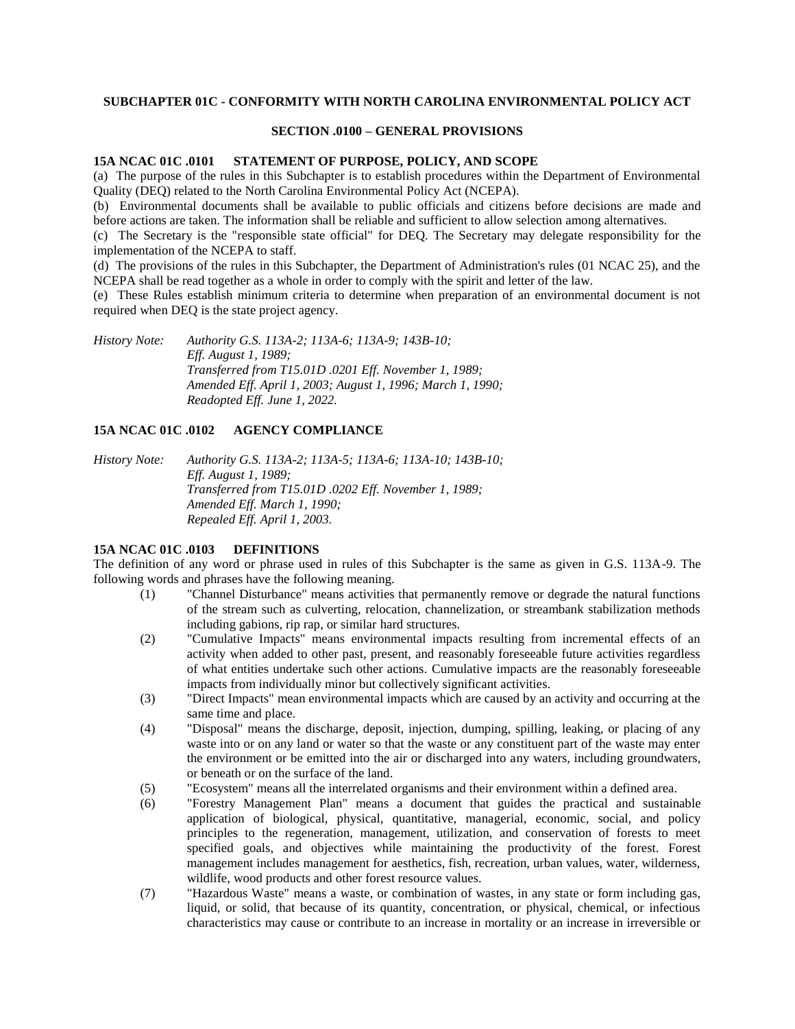## **SUBCHAPTER 01C - CONFORMITY WITH NORTH CAROLINA ENVIRONMENTAL POLICY ACT**

## **SECTION .0100 – GENERAL PROVISIONS**

# **15A NCAC 01C .0101 STATEMENT OF PURPOSE, POLICY, AND SCOPE**

(a) The purpose of the rules in this Subchapter is to establish procedures within the Department of Environmental Quality (DEQ) related to the North Carolina Environmental Policy Act (NCEPA).

(b) Environmental documents shall be available to public officials and citizens before decisions are made and before actions are taken. The information shall be reliable and sufficient to allow selection among alternatives.

(c) The Secretary is the "responsible state official" for DEQ. The Secretary may delegate responsibility for the implementation of the NCEPA to staff.

(d) The provisions of the rules in this Subchapter, the Department of Administration's rules (01 NCAC 25), and the NCEPA shall be read together as a whole in order to comply with the spirit and letter of the law.

(e) These Rules establish minimum criteria to determine when preparation of an environmental document is not required when DEQ is the state project agency.

*History Note: Authority G.S. 113A-2; 113A-6; 113A-9; 143B-10; Eff. August 1, 1989; Transferred from T15.01D .0201 Eff. November 1, 1989; Amended Eff. April 1, 2003; August 1, 1996; March 1, 1990; Readopted Eff. June 1, 2022.*

# **15A NCAC 01C .0102 AGENCY COMPLIANCE**

*History Note: Authority G.S. 113A-2; 113A-5; 113A-6; 113A-10; 143B-10; Eff. August 1, 1989; Transferred from T15.01D .0202 Eff. November 1, 1989; Amended Eff. March 1, 1990; Repealed Eff. April 1, 2003.*

### **15A NCAC 01C .0103 DEFINITIONS**

The definition of any word or phrase used in rules of this Subchapter is the same as given in G.S. 113A-9. The following words and phrases have the following meaning.

- (1) "Channel Disturbance" means activities that permanently remove or degrade the natural functions of the stream such as culverting, relocation, channelization, or streambank stabilization methods including gabions, rip rap, or similar hard structures.
- (2) "Cumulative Impacts" means environmental impacts resulting from incremental effects of an activity when added to other past, present, and reasonably foreseeable future activities regardless of what entities undertake such other actions. Cumulative impacts are the reasonably foreseeable impacts from individually minor but collectively significant activities.
- (3) "Direct Impacts" mean environmental impacts which are caused by an activity and occurring at the same time and place.
- (4) "Disposal" means the discharge, deposit, injection, dumping, spilling, leaking, or placing of any waste into or on any land or water so that the waste or any constituent part of the waste may enter the environment or be emitted into the air or discharged into any waters, including groundwaters, or beneath or on the surface of the land.
- (5) "Ecosystem" means all the interrelated organisms and their environment within a defined area.
- (6) "Forestry Management Plan" means a document that guides the practical and sustainable application of biological, physical, quantitative, managerial, economic, social, and policy principles to the regeneration, management, utilization, and conservation of forests to meet specified goals, and objectives while maintaining the productivity of the forest. Forest management includes management for aesthetics, fish, recreation, urban values, water, wilderness, wildlife, wood products and other forest resource values.
- (7) "Hazardous Waste" means a waste, or combination of wastes, in any state or form including gas, liquid, or solid, that because of its quantity, concentration, or physical, chemical, or infectious characteristics may cause or contribute to an increase in mortality or an increase in irreversible or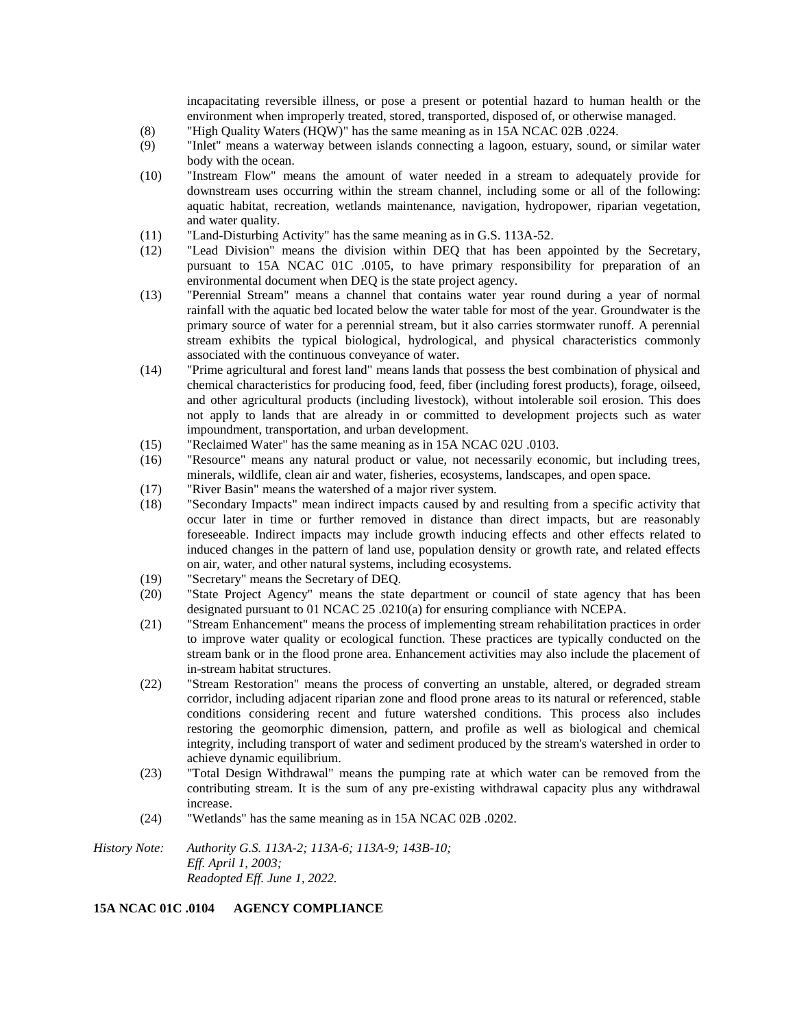incapacitating reversible illness, or pose a present or potential hazard to human health or the environment when improperly treated, stored, transported, disposed of, or otherwise managed.

- (8) "High Quality Waters (HQW)" has the same meaning as in 15A NCAC 02B .0224.
- (9) "Inlet" means a waterway between islands connecting a lagoon, estuary, sound, or similar water body with the ocean.
- (10) "Instream Flow" means the amount of water needed in a stream to adequately provide for downstream uses occurring within the stream channel, including some or all of the following: aquatic habitat, recreation, wetlands maintenance, navigation, hydropower, riparian vegetation, and water quality.
- (11) "Land-Disturbing Activity" has the same meaning as in G.S. 113A-52.
- (12) "Lead Division" means the division within DEQ that has been appointed by the Secretary, pursuant to 15A NCAC 01C .0105, to have primary responsibility for preparation of an environmental document when DEQ is the state project agency.
- (13) "Perennial Stream" means a channel that contains water year round during a year of normal rainfall with the aquatic bed located below the water table for most of the year. Groundwater is the primary source of water for a perennial stream, but it also carries stormwater runoff. A perennial stream exhibits the typical biological, hydrological, and physical characteristics commonly associated with the continuous conveyance of water.
- (14) "Prime agricultural and forest land" means lands that possess the best combination of physical and chemical characteristics for producing food, feed, fiber (including forest products), forage, oilseed, and other agricultural products (including livestock), without intolerable soil erosion. This does not apply to lands that are already in or committed to development projects such as water impoundment, transportation, and urban development.
- (15) "Reclaimed Water" has the same meaning as in 15A NCAC 02U .0103.
- (16) "Resource" means any natural product or value, not necessarily economic, but including trees, minerals, wildlife, clean air and water, fisheries, ecosystems, landscapes, and open space.
- (17) "River Basin" means the watershed of a major river system.
- (18) "Secondary Impacts" mean indirect impacts caused by and resulting from a specific activity that occur later in time or further removed in distance than direct impacts, but are reasonably foreseeable. Indirect impacts may include growth inducing effects and other effects related to induced changes in the pattern of land use, population density or growth rate, and related effects on air, water, and other natural systems, including ecosystems.
- (19) "Secretary" means the Secretary of DEQ.
- (20) "State Project Agency" means the state department or council of state agency that has been designated pursuant to 01 NCAC 25 .0210(a) for ensuring compliance with NCEPA.
- (21) "Stream Enhancement" means the process of implementing stream rehabilitation practices in order to improve water quality or ecological function. These practices are typically conducted on the stream bank or in the flood prone area. Enhancement activities may also include the placement of in-stream habitat structures.
- (22) "Stream Restoration" means the process of converting an unstable, altered, or degraded stream corridor, including adjacent riparian zone and flood prone areas to its natural or referenced, stable conditions considering recent and future watershed conditions. This process also includes restoring the geomorphic dimension, pattern, and profile as well as biological and chemical integrity, including transport of water and sediment produced by the stream's watershed in order to achieve dynamic equilibrium.
- (23) "Total Design Withdrawal" means the pumping rate at which water can be removed from the contributing stream. It is the sum of any pre-existing withdrawal capacity plus any withdrawal increase.
- (24) "Wetlands" has the same meaning as in 15A NCAC 02B .0202.

*History Note: Authority G.S. 113A-2; 113A-6; 113A-9; 143B-10; Eff. April 1, 2003; Readopted Eff. June 1, 2022.*

# **15A NCAC 01C .0104 AGENCY COMPLIANCE**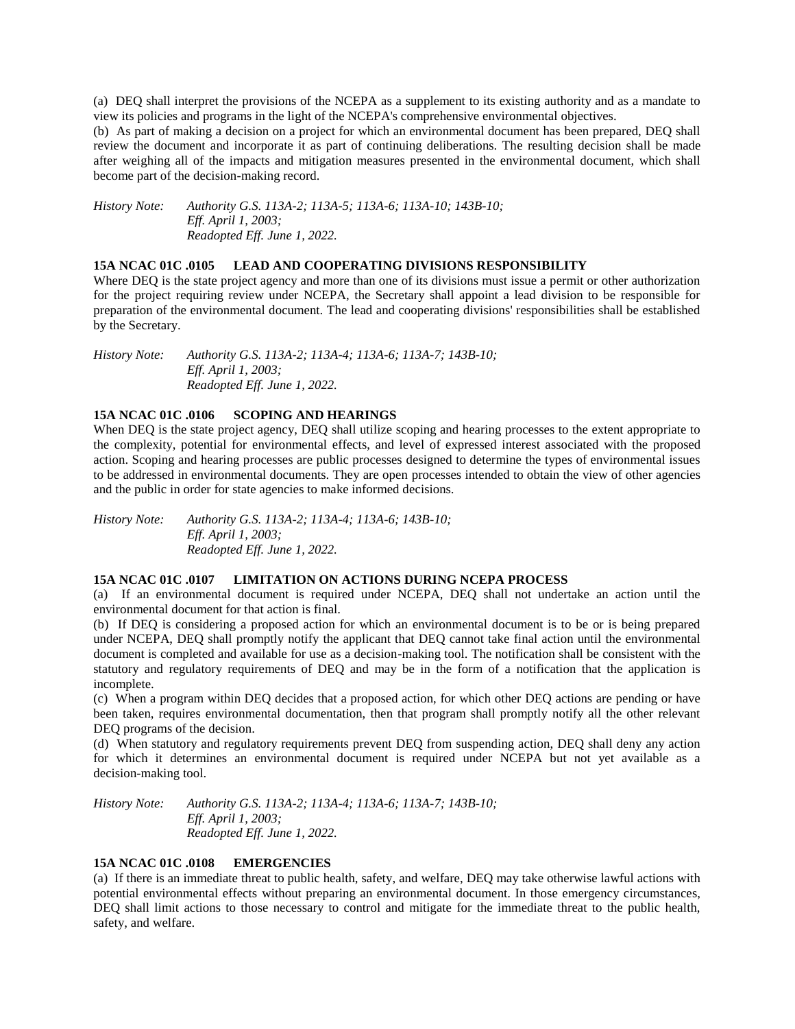(a) DEQ shall interpret the provisions of the NCEPA as a supplement to its existing authority and as a mandate to view its policies and programs in the light of the NCEPA's comprehensive environmental objectives.

(b) As part of making a decision on a project for which an environmental document has been prepared, DEQ shall review the document and incorporate it as part of continuing deliberations. The resulting decision shall be made after weighing all of the impacts and mitigation measures presented in the environmental document, which shall become part of the decision-making record.

*History Note: Authority G.S. 113A-2; 113A-5; 113A-6; 113A-10; 143B-10; Eff. April 1, 2003; Readopted Eff. June 1, 2022.*

## **15A NCAC 01C .0105 LEAD AND COOPERATING DIVISIONS RESPONSIBILITY**

Where DEQ is the state project agency and more than one of its divisions must issue a permit or other authorization for the project requiring review under NCEPA, the Secretary shall appoint a lead division to be responsible for preparation of the environmental document. The lead and cooperating divisions' responsibilities shall be established by the Secretary.

*History Note: Authority G.S. 113A-2; 113A-4; 113A-6; 113A-7; 143B-10; Eff. April 1, 2003; Readopted Eff. June 1, 2022.*

# **15A NCAC 01C .0106 SCOPING AND HEARINGS**

When DEQ is the state project agency, DEQ shall utilize scoping and hearing processes to the extent appropriate to the complexity, potential for environmental effects, and level of expressed interest associated with the proposed action. Scoping and hearing processes are public processes designed to determine the types of environmental issues to be addressed in environmental documents. They are open processes intended to obtain the view of other agencies and the public in order for state agencies to make informed decisions.

*History Note: Authority G.S. 113A-2; 113A-4; 113A-6; 143B-10; Eff. April 1, 2003; Readopted Eff. June 1, 2022.*

# **15A NCAC 01C .0107 LIMITATION ON ACTIONS DURING NCEPA PROCESS**

(a) If an environmental document is required under NCEPA, DEQ shall not undertake an action until the environmental document for that action is final.

(b) If DEQ is considering a proposed action for which an environmental document is to be or is being prepared under NCEPA, DEQ shall promptly notify the applicant that DEQ cannot take final action until the environmental document is completed and available for use as a decision-making tool. The notification shall be consistent with the statutory and regulatory requirements of DEQ and may be in the form of a notification that the application is incomplete.

(c) When a program within DEQ decides that a proposed action, for which other DEQ actions are pending or have been taken, requires environmental documentation, then that program shall promptly notify all the other relevant DEQ programs of the decision.

(d) When statutory and regulatory requirements prevent DEQ from suspending action, DEQ shall deny any action for which it determines an environmental document is required under NCEPA but not yet available as a decision-making tool.

*History Note: Authority G.S. 113A-2; 113A-4; 113A-6; 113A-7; 143B-10; Eff. April 1, 2003; Readopted Eff. June 1, 2022.*

## **15A NCAC 01C .0108 EMERGENCIES**

(a) If there is an immediate threat to public health, safety, and welfare, DEQ may take otherwise lawful actions with potential environmental effects without preparing an environmental document. In those emergency circumstances, DEQ shall limit actions to those necessary to control and mitigate for the immediate threat to the public health, safety, and welfare.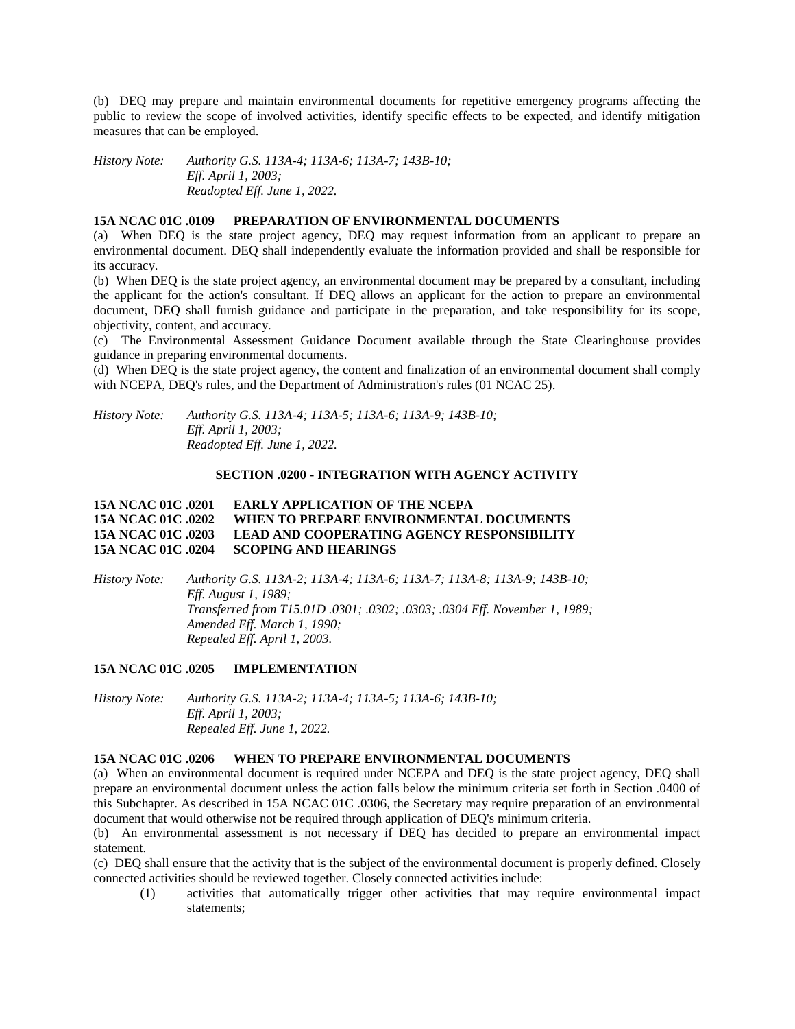(b) DEQ may prepare and maintain environmental documents for repetitive emergency programs affecting the public to review the scope of involved activities, identify specific effects to be expected, and identify mitigation measures that can be employed.

*History Note: Authority G.S. 113A-4; 113A-6; 113A-7; 143B-10; Eff. April 1, 2003; Readopted Eff. June 1, 2022.*

# **15A NCAC 01C .0109 PREPARATION OF ENVIRONMENTAL DOCUMENTS**

(a) When DEQ is the state project agency, DEQ may request information from an applicant to prepare an environmental document. DEQ shall independently evaluate the information provided and shall be responsible for its accuracy.

(b) When DEQ is the state project agency, an environmental document may be prepared by a consultant, including the applicant for the action's consultant. If DEQ allows an applicant for the action to prepare an environmental document, DEQ shall furnish guidance and participate in the preparation, and take responsibility for its scope, objectivity, content, and accuracy.

(c) The Environmental Assessment Guidance Document available through the State Clearinghouse provides guidance in preparing environmental documents.

(d) When DEQ is the state project agency, the content and finalization of an environmental document shall comply with NCEPA, DEQ's rules, and the Department of Administration's rules (01 NCAC 25).

*History Note: Authority G.S. 113A-4; 113A-5; 113A-6; 113A-9; 143B-10; Eff. April 1, 2003; Readopted Eff. June 1, 2022.*

# **SECTION .0200 - INTEGRATION WITH AGENCY ACTIVITY**

# **15A NCAC 01C .0201 EARLY APPLICATION OF THE NCEPA 15A NCAC 01C .0202 WHEN TO PREPARE ENVIRONMENTAL DOCUMENTS 15A NCAC 01C .0203 LEAD AND COOPERATING AGENCY RESPONSIBILITY 15A NCAC 01C .0204 SCOPING AND HEARINGS**

*History Note: Authority G.S. 113A-2; 113A-4; 113A-6; 113A-7; 113A-8; 113A-9; 143B-10; Eff. August 1, 1989; Transferred from T15.01D .0301; .0302; .0303; .0304 Eff. November 1, 1989; Amended Eff. March 1, 1990; Repealed Eff. April 1, 2003.*

#### **15A NCAC 01C .0205 IMPLEMENTATION**

*History Note: Authority G.S. 113A-2; 113A-4; 113A-5; 113A-6; 143B-10; Eff. April 1, 2003; Repealed Eff. June 1, 2022.*

# **15A NCAC 01C .0206 WHEN TO PREPARE ENVIRONMENTAL DOCUMENTS**

(a) When an environmental document is required under NCEPA and DEQ is the state project agency, DEQ shall prepare an environmental document unless the action falls below the minimum criteria set forth in Section .0400 of this Subchapter. As described in 15A NCAC 01C .0306, the Secretary may require preparation of an environmental document that would otherwise not be required through application of DEQ's minimum criteria.

(b) An environmental assessment is not necessary if DEQ has decided to prepare an environmental impact statement.

(c) DEQ shall ensure that the activity that is the subject of the environmental document is properly defined. Closely connected activities should be reviewed together. Closely connected activities include:

(1) activities that automatically trigger other activities that may require environmental impact statements;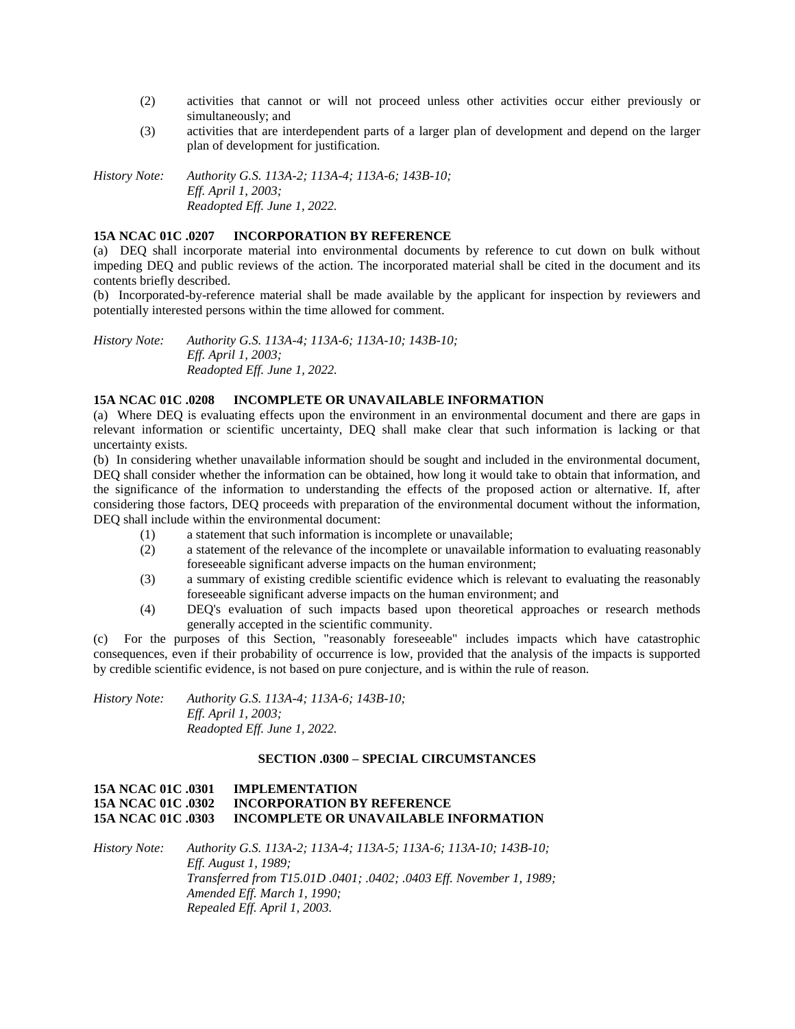- (2) activities that cannot or will not proceed unless other activities occur either previously or simultaneously; and
- (3) activities that are interdependent parts of a larger plan of development and depend on the larger plan of development for justification.

*History Note: Authority G.S. 113A-2; 113A-4; 113A-6; 143B-10; Eff. April 1, 2003; Readopted Eff. June 1, 2022.*

## **15A NCAC 01C .0207 INCORPORATION BY REFERENCE**

(a) DEQ shall incorporate material into environmental documents by reference to cut down on bulk without impeding DEQ and public reviews of the action. The incorporated material shall be cited in the document and its contents briefly described.

(b) Incorporated-by-reference material shall be made available by the applicant for inspection by reviewers and potentially interested persons within the time allowed for comment.

*History Note: Authority G.S. 113A-4; 113A-6; 113A-10; 143B-10; Eff. April 1, 2003; Readopted Eff. June 1, 2022.*

## **15A NCAC 01C .0208 INCOMPLETE OR UNAVAILABLE INFORMATION**

(a) Where DEQ is evaluating effects upon the environment in an environmental document and there are gaps in relevant information or scientific uncertainty, DEQ shall make clear that such information is lacking or that uncertainty exists.

(b) In considering whether unavailable information should be sought and included in the environmental document, DEQ shall consider whether the information can be obtained, how long it would take to obtain that information, and the significance of the information to understanding the effects of the proposed action or alternative. If, after considering those factors, DEQ proceeds with preparation of the environmental document without the information, DEQ shall include within the environmental document:

- (1) a statement that such information is incomplete or unavailable;
- (2) a statement of the relevance of the incomplete or unavailable information to evaluating reasonably foreseeable significant adverse impacts on the human environment;
- (3) a summary of existing credible scientific evidence which is relevant to evaluating the reasonably foreseeable significant adverse impacts on the human environment; and
- (4) DEQ's evaluation of such impacts based upon theoretical approaches or research methods generally accepted in the scientific community.

(c) For the purposes of this Section, "reasonably foreseeable" includes impacts which have catastrophic consequences, even if their probability of occurrence is low, provided that the analysis of the impacts is supported by credible scientific evidence, is not based on pure conjecture, and is within the rule of reason.

*History Note: Authority G.S. 113A-4; 113A-6; 143B-10; Eff. April 1, 2003; Readopted Eff. June 1, 2022.*

# **SECTION .0300 – SPECIAL CIRCUMSTANCES**

### **15A NCAC 01C .0301 IMPLEMENTATION 15A NCAC 01C .0302 INCORPORATION BY REFERENCE 15A NCAC 01C .0303 INCOMPLETE OR UNAVAILABLE INFORMATION**

*History Note: Authority G.S. 113A-2; 113A-4; 113A-5; 113A-6; 113A-10; 143B-10; Eff. August 1, 1989; Transferred from T15.01D .0401; .0402; .0403 Eff. November 1, 1989; Amended Eff. March 1, 1990; Repealed Eff. April 1, 2003.*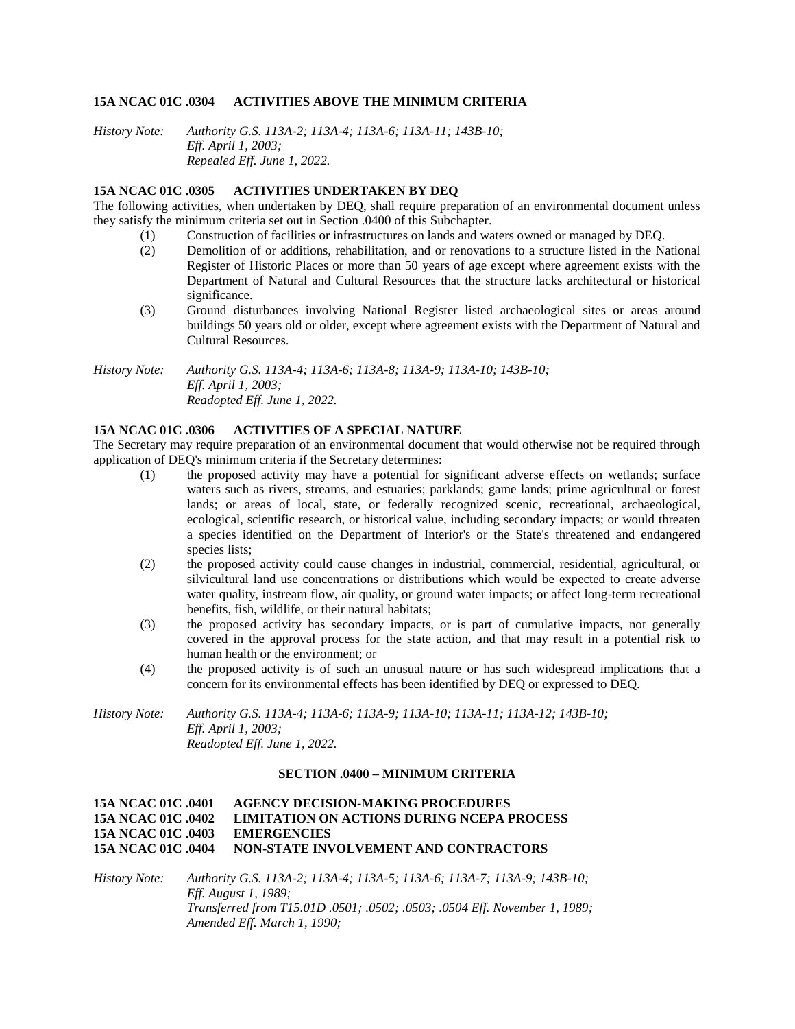# **15A NCAC 01C .0304 ACTIVITIES ABOVE THE MINIMUM CRITERIA**

*History Note: Authority G.S. 113A-2; 113A-4; 113A-6; 113A-11; 143B-10; Eff. April 1, 2003; Repealed Eff. June 1, 2022.*

### **15A NCAC 01C .0305 ACTIVITIES UNDERTAKEN BY DEQ**

The following activities, when undertaken by DEQ, shall require preparation of an environmental document unless they satisfy the minimum criteria set out in Section .0400 of this Subchapter.

- (1) Construction of facilities or infrastructures on lands and waters owned or managed by DEQ.
- (2) Demolition of or additions, rehabilitation, and or renovations to a structure listed in the National Register of Historic Places or more than 50 years of age except where agreement exists with the Department of Natural and Cultural Resources that the structure lacks architectural or historical significance.
- (3) Ground disturbances involving National Register listed archaeological sites or areas around buildings 50 years old or older, except where agreement exists with the Department of Natural and Cultural Resources.

*History Note: Authority G.S. 113A-4; 113A-6; 113A-8; 113A-9; 113A-10; 143B-10; Eff. April 1, 2003; Readopted Eff. June 1, 2022.*

# **15A NCAC 01C .0306 ACTIVITIES OF A SPECIAL NATURE**

The Secretary may require preparation of an environmental document that would otherwise not be required through application of DEQ's minimum criteria if the Secretary determines:

- (1) the proposed activity may have a potential for significant adverse effects on wetlands; surface waters such as rivers, streams, and estuaries; parklands; game lands; prime agricultural or forest lands; or areas of local, state, or federally recognized scenic, recreational, archaeological, ecological, scientific research, or historical value, including secondary impacts; or would threaten a species identified on the Department of Interior's or the State's threatened and endangered species lists;
- (2) the proposed activity could cause changes in industrial, commercial, residential, agricultural, or silvicultural land use concentrations or distributions which would be expected to create adverse water quality, instream flow, air quality, or ground water impacts; or affect long-term recreational benefits, fish, wildlife, or their natural habitats;
- (3) the proposed activity has secondary impacts, or is part of cumulative impacts, not generally covered in the approval process for the state action, and that may result in a potential risk to human health or the environment; or
- (4) the proposed activity is of such an unusual nature or has such widespread implications that a concern for its environmental effects has been identified by DEQ or expressed to DEQ.

*History Note: Authority G.S. 113A-4; 113A-6; 113A-9; 113A-10; 113A-11; 113A-12; 143B-10; Eff. April 1, 2003; Readopted Eff. June 1, 2022.*

#### **SECTION .0400 – MINIMUM CRITERIA**

## **15A NCAC 01C .0401 AGENCY DECISION-MAKING PROCEDURES 15A NCAC 01C .0402 LIMITATION ON ACTIONS DURING NCEPA PROCESS 15A NCAC 01C .0403 EMERGENCIES 15A NCAC 01C .0404 NON-STATE INVOLVEMENT AND CONTRACTORS**

*History Note: Authority G.S. 113A-2; 113A-4; 113A-5; 113A-6; 113A-7; 113A-9; 143B-10; Eff. August 1, 1989; Transferred from T15.01D .0501; .0502; .0503; .0504 Eff. November 1, 1989; Amended Eff. March 1, 1990;*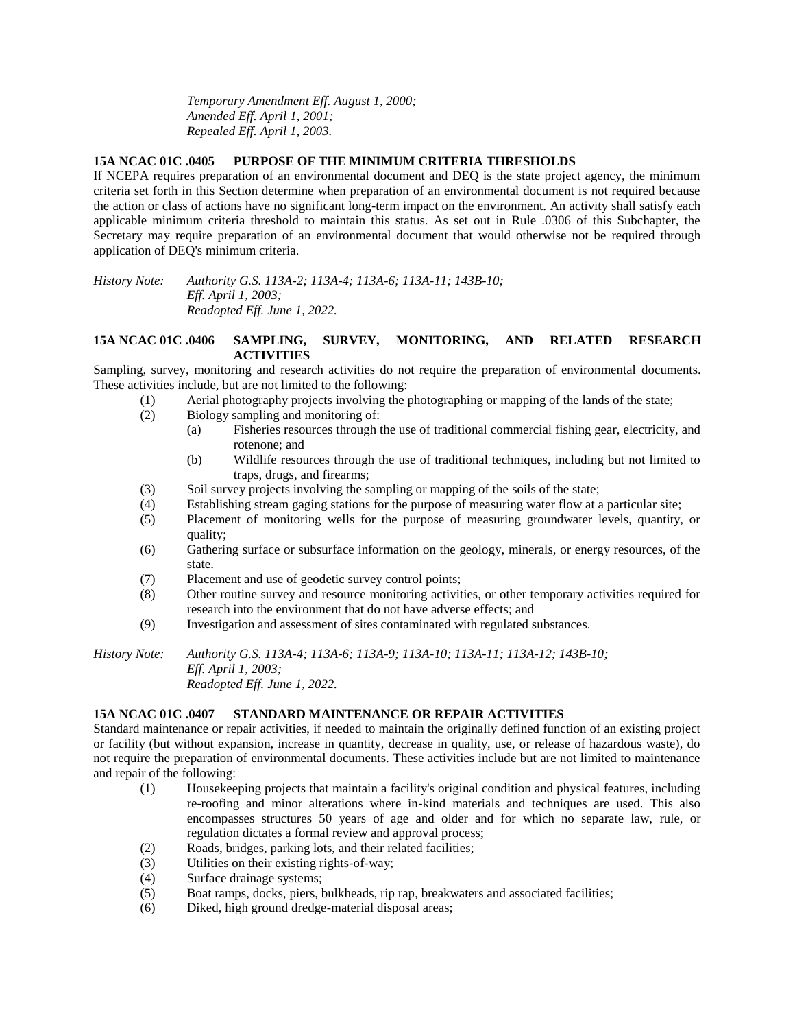*Temporary Amendment Eff. August 1, 2000; Amended Eff. April 1, 2001; Repealed Eff. April 1, 2003.*

#### **15A NCAC 01C .0405 PURPOSE OF THE MINIMUM CRITERIA THRESHOLDS**

If NCEPA requires preparation of an environmental document and DEQ is the state project agency, the minimum criteria set forth in this Section determine when preparation of an environmental document is not required because the action or class of actions have no significant long-term impact on the environment. An activity shall satisfy each applicable minimum criteria threshold to maintain this status. As set out in Rule .0306 of this Subchapter, the Secretary may require preparation of an environmental document that would otherwise not be required through application of DEQ's minimum criteria.

*History Note: Authority G.S. 113A-2; 113A-4; 113A-6; 113A-11; 143B-10; Eff. April 1, 2003; Readopted Eff. June 1, 2022.*

#### **15A NCAC 01C .0406 SAMPLING, SURVEY, MONITORING, AND RELATED RESEARCH ACTIVITIES**

Sampling, survey, monitoring and research activities do not require the preparation of environmental documents. These activities include, but are not limited to the following:

- (1) Aerial photography projects involving the photographing or mapping of the lands of the state;
- (2) Biology sampling and monitoring of:
	- (a) Fisheries resources through the use of traditional commercial fishing gear, electricity, and rotenone; and
	- (b) Wildlife resources through the use of traditional techniques, including but not limited to traps, drugs, and firearms;
- (3) Soil survey projects involving the sampling or mapping of the soils of the state;
- (4) Establishing stream gaging stations for the purpose of measuring water flow at a particular site;
- (5) Placement of monitoring wells for the purpose of measuring groundwater levels, quantity, or quality;
- (6) Gathering surface or subsurface information on the geology, minerals, or energy resources, of the state.
- (7) Placement and use of geodetic survey control points;
- (8) Other routine survey and resource monitoring activities, or other temporary activities required for research into the environment that do not have adverse effects; and
- (9) Investigation and assessment of sites contaminated with regulated substances.

*History Note: Authority G.S. 113A-4; 113A-6; 113A-9; 113A-10; 113A-11; 113A-12; 143B-10; Eff. April 1, 2003; Readopted Eff. June 1, 2022.*

# **15A NCAC 01C .0407 STANDARD MAINTENANCE OR REPAIR ACTIVITIES**

Standard maintenance or repair activities, if needed to maintain the originally defined function of an existing project or facility (but without expansion, increase in quantity, decrease in quality, use, or release of hazardous waste), do not require the preparation of environmental documents. These activities include but are not limited to maintenance and repair of the following:

- (1) Housekeeping projects that maintain a facility's original condition and physical features, including re-roofing and minor alterations where in-kind materials and techniques are used. This also encompasses structures 50 years of age and older and for which no separate law, rule, or regulation dictates a formal review and approval process;
- (2) Roads, bridges, parking lots, and their related facilities;
- (3) Utilities on their existing rights-of-way;
- (4) Surface drainage systems;
- (5) Boat ramps, docks, piers, bulkheads, rip rap, breakwaters and associated facilities;
- (6) Diked, high ground dredge-material disposal areas;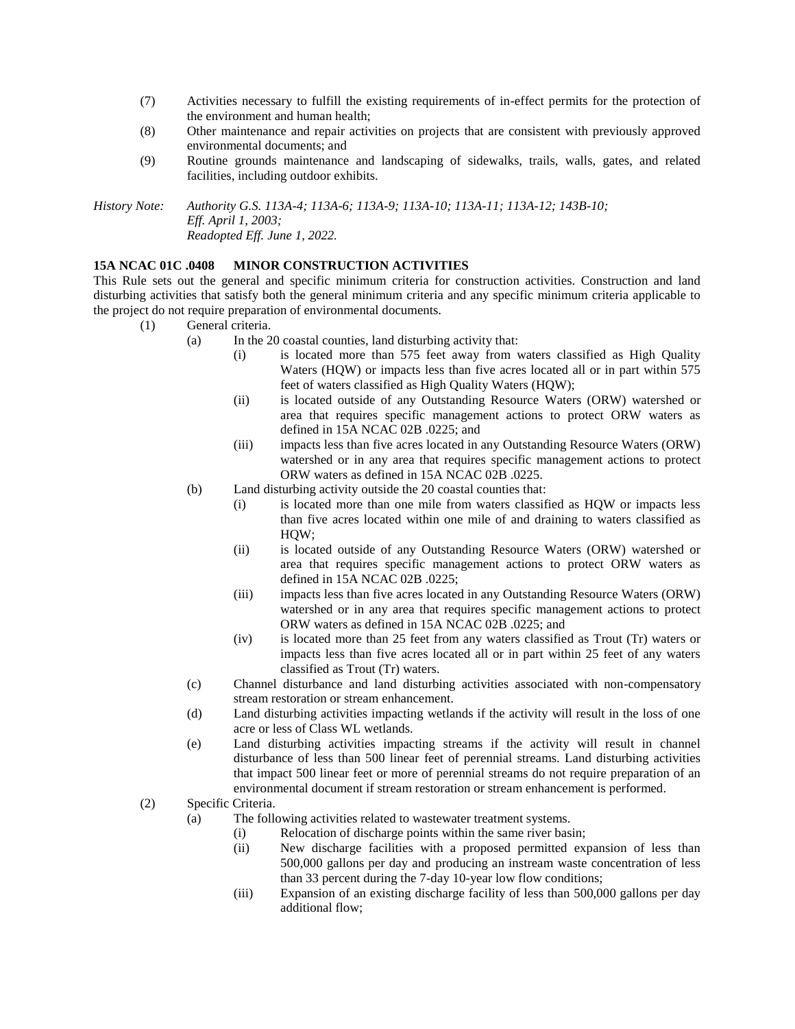- (7) Activities necessary to fulfill the existing requirements of in-effect permits for the protection of the environment and human health;
- (8) Other maintenance and repair activities on projects that are consistent with previously approved environmental documents; and
- (9) Routine grounds maintenance and landscaping of sidewalks, trails, walls, gates, and related facilities, including outdoor exhibits.

*History Note: Authority G.S. 113A-4; 113A-6; 113A-9; 113A-10; 113A-11; 113A-12; 143B-10; Eff. April 1, 2003; Readopted Eff. June 1, 2022.*

# **15A NCAC 01C .0408 MINOR CONSTRUCTION ACTIVITIES**

This Rule sets out the general and specific minimum criteria for construction activities. Construction and land disturbing activities that satisfy both the general minimum criteria and any specific minimum criteria applicable to the project do not require preparation of environmental documents.

- (1) General criteria.
	- (a) In the 20 coastal counties, land disturbing activity that:
		- (i) is located more than 575 feet away from waters classified as High Quality Waters (HQW) or impacts less than five acres located all or in part within 575 feet of waters classified as High Quality Waters (HQW);
		- (ii) is located outside of any Outstanding Resource Waters (ORW) watershed or area that requires specific management actions to protect ORW waters as defined in 15A NCAC 02B .0225; and
		- (iii) impacts less than five acres located in any Outstanding Resource Waters (ORW) watershed or in any area that requires specific management actions to protect ORW waters as defined in 15A NCAC 02B .0225.
	- (b) Land disturbing activity outside the 20 coastal counties that:
		- (i) is located more than one mile from waters classified as HQW or impacts less than five acres located within one mile of and draining to waters classified as HOW:
		- (ii) is located outside of any Outstanding Resource Waters (ORW) watershed or area that requires specific management actions to protect ORW waters as defined in 15A NCAC 02B .0225;
		- (iii) impacts less than five acres located in any Outstanding Resource Waters (ORW) watershed or in any area that requires specific management actions to protect ORW waters as defined in 15A NCAC 02B .0225; and
		- (iv) is located more than 25 feet from any waters classified as Trout (Tr) waters or impacts less than five acres located all or in part within 25 feet of any waters classified as Trout (Tr) waters.
	- (c) Channel disturbance and land disturbing activities associated with non-compensatory stream restoration or stream enhancement.
	- (d) Land disturbing activities impacting wetlands if the activity will result in the loss of one acre or less of Class WL wetlands.
	- (e) Land disturbing activities impacting streams if the activity will result in channel disturbance of less than 500 linear feet of perennial streams. Land disturbing activities that impact 500 linear feet or more of perennial streams do not require preparation of an environmental document if stream restoration or stream enhancement is performed.
- (2) Specific Criteria.
	- (a) The following activities related to wastewater treatment systems.
		- (i) Relocation of discharge points within the same river basin;
		- (ii) New discharge facilities with a proposed permitted expansion of less than 500,000 gallons per day and producing an instream waste concentration of less than 33 percent during the 7-day 10-year low flow conditions;
		- (iii) Expansion of an existing discharge facility of less than 500,000 gallons per day additional flow;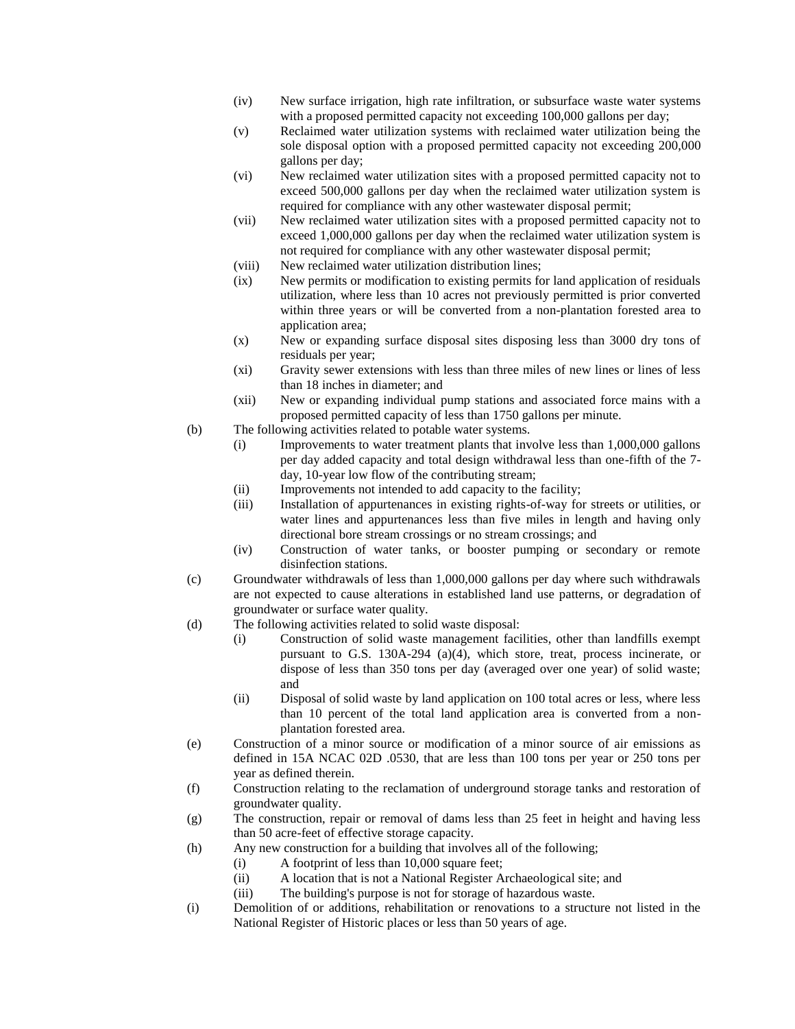- (iv) New surface irrigation, high rate infiltration, or subsurface waste water systems with a proposed permitted capacity not exceeding 100,000 gallons per day;
- (v) Reclaimed water utilization systems with reclaimed water utilization being the sole disposal option with a proposed permitted capacity not exceeding 200,000 gallons per day;
- (vi) New reclaimed water utilization sites with a proposed permitted capacity not to exceed 500,000 gallons per day when the reclaimed water utilization system is required for compliance with any other wastewater disposal permit;
- (vii) New reclaimed water utilization sites with a proposed permitted capacity not to exceed 1,000,000 gallons per day when the reclaimed water utilization system is not required for compliance with any other wastewater disposal permit;
- (viii) New reclaimed water utilization distribution lines;
- (ix) New permits or modification to existing permits for land application of residuals utilization, where less than 10 acres not previously permitted is prior converted within three years or will be converted from a non-plantation forested area to application area;
- (x) New or expanding surface disposal sites disposing less than 3000 dry tons of residuals per year;
- (xi) Gravity sewer extensions with less than three miles of new lines or lines of less than 18 inches in diameter; and
- (xii) New or expanding individual pump stations and associated force mains with a proposed permitted capacity of less than 1750 gallons per minute.
- (b) The following activities related to potable water systems.
	- (i) Improvements to water treatment plants that involve less than 1,000,000 gallons per day added capacity and total design withdrawal less than one-fifth of the 7 day, 10-year low flow of the contributing stream;
	- (ii) Improvements not intended to add capacity to the facility;
	- (iii) Installation of appurtenances in existing rights-of-way for streets or utilities, or water lines and appurtenances less than five miles in length and having only directional bore stream crossings or no stream crossings; and
	- (iv) Construction of water tanks, or booster pumping or secondary or remote disinfection stations.
- (c) Groundwater withdrawals of less than 1,000,000 gallons per day where such withdrawals are not expected to cause alterations in established land use patterns, or degradation of groundwater or surface water quality.
- (d) The following activities related to solid waste disposal:
	- (i) Construction of solid waste management facilities, other than landfills exempt pursuant to G.S. 130A-294 (a)(4), which store, treat, process incinerate, or dispose of less than 350 tons per day (averaged over one year) of solid waste; and
	- (ii) Disposal of solid waste by land application on 100 total acres or less, where less than 10 percent of the total land application area is converted from a nonplantation forested area.
- (e) Construction of a minor source or modification of a minor source of air emissions as defined in 15A NCAC 02D .0530, that are less than 100 tons per year or 250 tons per year as defined therein.
- (f) Construction relating to the reclamation of underground storage tanks and restoration of groundwater quality.
- (g) The construction, repair or removal of dams less than 25 feet in height and having less than 50 acre-feet of effective storage capacity.
- (h) Any new construction for a building that involves all of the following;
	- (i) A footprint of less than 10,000 square feet;
	- (ii) A location that is not a National Register Archaeological site; and
	- (iii) The building's purpose is not for storage of hazardous waste.
- (i) Demolition of or additions, rehabilitation or renovations to a structure not listed in the National Register of Historic places or less than 50 years of age.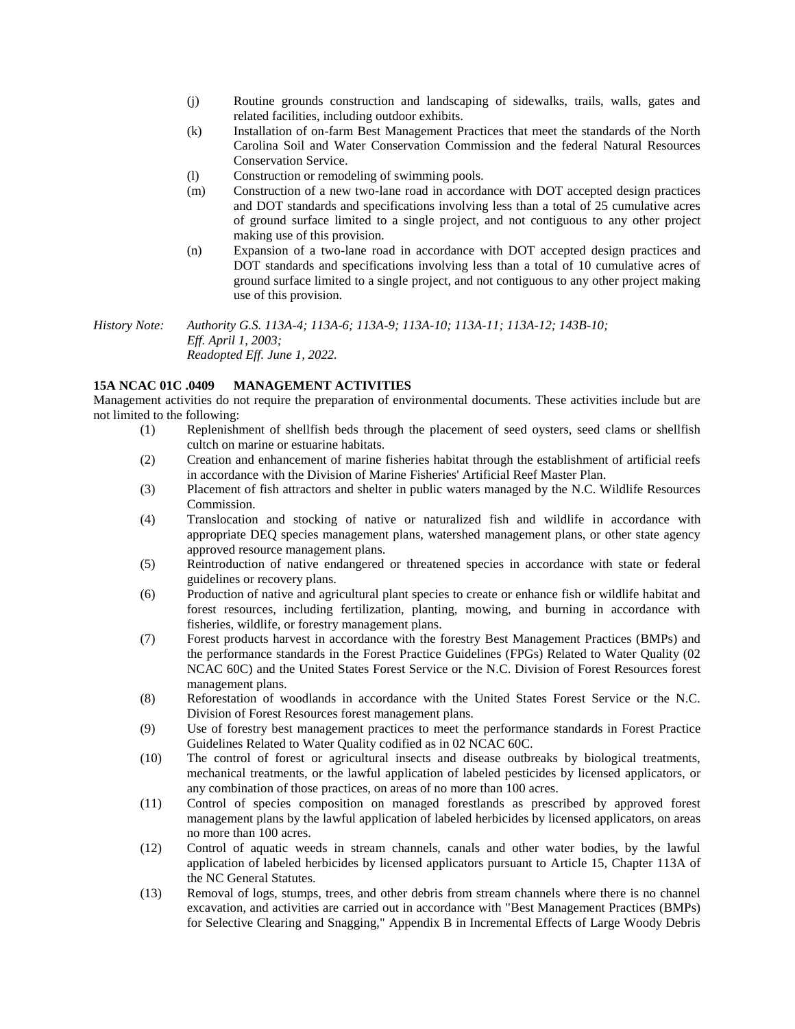- (j) Routine grounds construction and landscaping of sidewalks, trails, walls, gates and related facilities, including outdoor exhibits.
- (k) Installation of on-farm Best Management Practices that meet the standards of the North Carolina Soil and Water Conservation Commission and the federal Natural Resources Conservation Service.
- (l) Construction or remodeling of swimming pools.
- (m) Construction of a new two-lane road in accordance with DOT accepted design practices and DOT standards and specifications involving less than a total of 25 cumulative acres of ground surface limited to a single project, and not contiguous to any other project making use of this provision.
- (n) Expansion of a two-lane road in accordance with DOT accepted design practices and DOT standards and specifications involving less than a total of 10 cumulative acres of ground surface limited to a single project, and not contiguous to any other project making use of this provision.

*History Note: Authority G.S. 113A-4; 113A-6; 113A-9; 113A-10; 113A-11; 113A-12; 143B-10; Eff. April 1, 2003; Readopted Eff. June 1, 2022.*

# **15A NCAC 01C .0409 MANAGEMENT ACTIVITIES**

Management activities do not require the preparation of environmental documents. These activities include but are not limited to the following:

- (1) Replenishment of shellfish beds through the placement of seed oysters, seed clams or shellfish cultch on marine or estuarine habitats.
- (2) Creation and enhancement of marine fisheries habitat through the establishment of artificial reefs in accordance with the Division of Marine Fisheries' Artificial Reef Master Plan.
- (3) Placement of fish attractors and shelter in public waters managed by the N.C. Wildlife Resources Commission.
- (4) Translocation and stocking of native or naturalized fish and wildlife in accordance with appropriate DEQ species management plans, watershed management plans, or other state agency approved resource management plans.
- (5) Reintroduction of native endangered or threatened species in accordance with state or federal guidelines or recovery plans.
- (6) Production of native and agricultural plant species to create or enhance fish or wildlife habitat and forest resources, including fertilization, planting, mowing, and burning in accordance with fisheries, wildlife, or forestry management plans.
- (7) Forest products harvest in accordance with the forestry Best Management Practices (BMPs) and the performance standards in the Forest Practice Guidelines (FPGs) Related to Water Quality (02 NCAC 60C) and the United States Forest Service or the N.C. Division of Forest Resources forest management plans.
- (8) Reforestation of woodlands in accordance with the United States Forest Service or the N.C. Division of Forest Resources forest management plans.
- (9) Use of forestry best management practices to meet the performance standards in Forest Practice Guidelines Related to Water Quality codified as in 02 NCAC 60C.
- (10) The control of forest or agricultural insects and disease outbreaks by biological treatments, mechanical treatments, or the lawful application of labeled pesticides by licensed applicators, or any combination of those practices, on areas of no more than 100 acres.
- (11) Control of species composition on managed forestlands as prescribed by approved forest management plans by the lawful application of labeled herbicides by licensed applicators, on areas no more than 100 acres.
- (12) Control of aquatic weeds in stream channels, canals and other water bodies, by the lawful application of labeled herbicides by licensed applicators pursuant to Article 15, Chapter 113A of the NC General Statutes.
- (13) Removal of logs, stumps, trees, and other debris from stream channels where there is no channel excavation, and activities are carried out in accordance with "Best Management Practices (BMPs) for Selective Clearing and Snagging," Appendix B in Incremental Effects of Large Woody Debris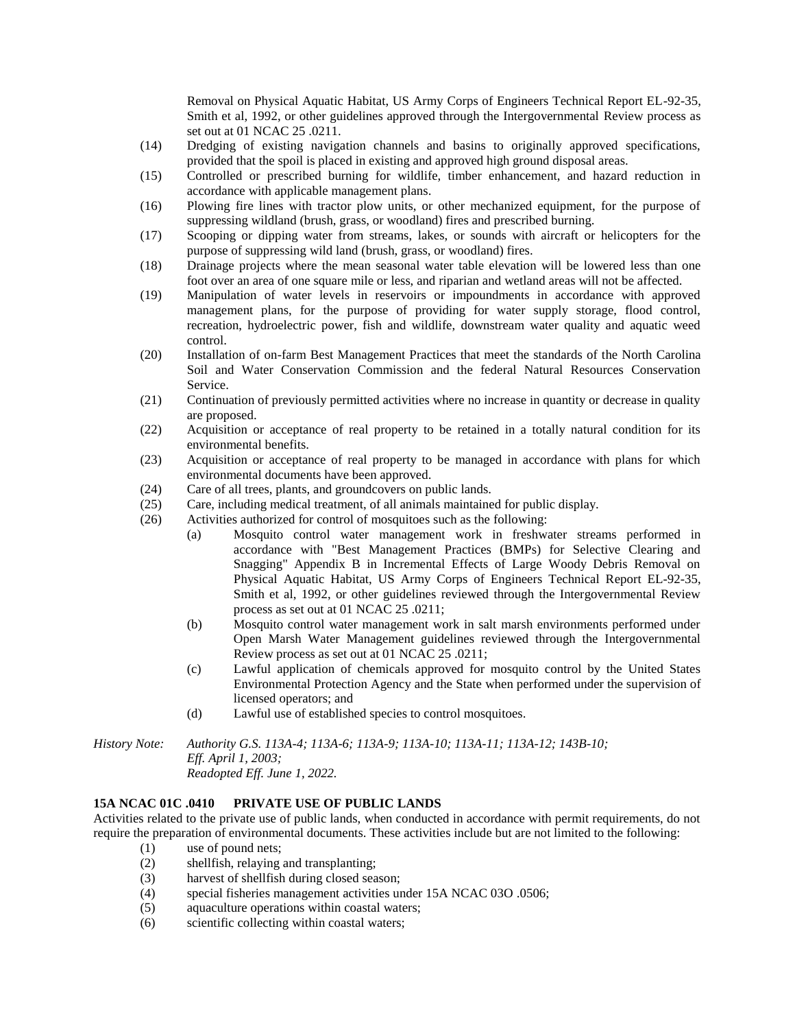Removal on Physical Aquatic Habitat, US Army Corps of Engineers Technical Report EL-92-35, Smith et al, 1992, or other guidelines approved through the Intergovernmental Review process as set out at 01 NCAC 25 .0211.

- (14) Dredging of existing navigation channels and basins to originally approved specifications, provided that the spoil is placed in existing and approved high ground disposal areas.
- (15) Controlled or prescribed burning for wildlife, timber enhancement, and hazard reduction in accordance with applicable management plans.
- (16) Plowing fire lines with tractor plow units, or other mechanized equipment, for the purpose of suppressing wildland (brush, grass, or woodland) fires and prescribed burning.
- (17) Scooping or dipping water from streams, lakes, or sounds with aircraft or helicopters for the purpose of suppressing wild land (brush, grass, or woodland) fires.
- (18) Drainage projects where the mean seasonal water table elevation will be lowered less than one foot over an area of one square mile or less, and riparian and wetland areas will not be affected.
- (19) Manipulation of water levels in reservoirs or impoundments in accordance with approved management plans, for the purpose of providing for water supply storage, flood control, recreation, hydroelectric power, fish and wildlife, downstream water quality and aquatic weed control.
- (20) Installation of on-farm Best Management Practices that meet the standards of the North Carolina Soil and Water Conservation Commission and the federal Natural Resources Conservation Service.
- (21) Continuation of previously permitted activities where no increase in quantity or decrease in quality are proposed.
- (22) Acquisition or acceptance of real property to be retained in a totally natural condition for its environmental benefits.
- (23) Acquisition or acceptance of real property to be managed in accordance with plans for which environmental documents have been approved.
- (24) Care of all trees, plants, and groundcovers on public lands.
- (25) Care, including medical treatment, of all animals maintained for public display.
- (26) Activities authorized for control of mosquitoes such as the following:
	- (a) Mosquito control water management work in freshwater streams performed in accordance with "Best Management Practices (BMPs) for Selective Clearing and Snagging" Appendix B in Incremental Effects of Large Woody Debris Removal on Physical Aquatic Habitat, US Army Corps of Engineers Technical Report EL-92-35, Smith et al, 1992, or other guidelines reviewed through the Intergovernmental Review process as set out at 01 NCAC 25 .0211;
	- (b) Mosquito control water management work in salt marsh environments performed under Open Marsh Water Management guidelines reviewed through the Intergovernmental Review process as set out at 01 NCAC 25 .0211;
	- (c) Lawful application of chemicals approved for mosquito control by the United States Environmental Protection Agency and the State when performed under the supervision of licensed operators; and
	- (d) Lawful use of established species to control mosquitoes.

*History Note: Authority G.S. 113A-4; 113A-6; 113A-9; 113A-10; 113A-11; 113A-12; 143B-10; Eff. April 1, 2003; Readopted Eff. June 1, 2022.*

# **15A NCAC 01C .0410 PRIVATE USE OF PUBLIC LANDS**

Activities related to the private use of public lands, when conducted in accordance with permit requirements, do not require the preparation of environmental documents. These activities include but are not limited to the following:

- (1) use of pound nets;
- (2) shellfish, relaying and transplanting;
- (3) harvest of shellfish during closed season;
- (4) special fisheries management activities under 15A NCAC 03O .0506;
- (5) aquaculture operations within coastal waters;
- (6) scientific collecting within coastal waters;